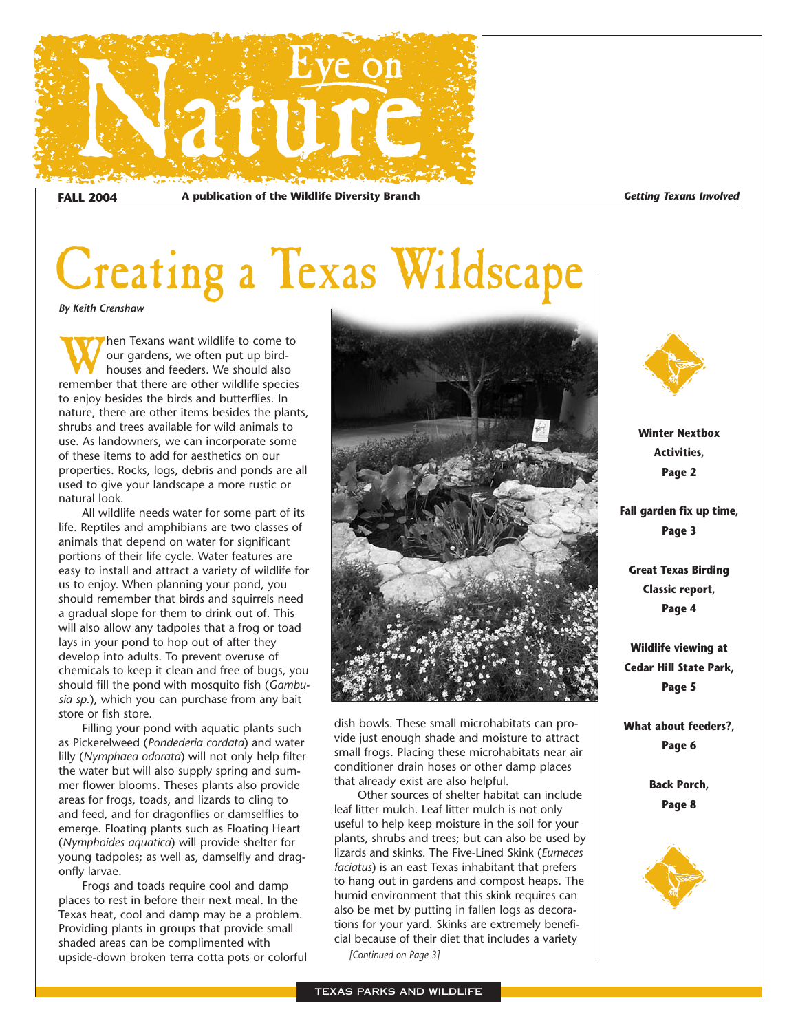

**FALL 2004 A publication of the Wildlife Diversity Branch** *Getting Texans Involved*

# Creating a Texas Wildscape

*By Keith Crenshaw*

When Texans want wildlife to come to<br>our gardens, we often put up bird-<br>houses and feeders. We should also<br>remember that there are other wildlife species our gardens, we often put up birdhouses and feeders. We should also remember that there are other wildlife species to enjoy besides the birds and butterflies. In nature, there are other items besides the plants, shrubs and trees available for wild animals to use. As landowners, we can incorporate some of these items to add for aesthetics on our properties. Rocks, logs, debris and ponds are all used to give your landscape a more rustic or natural look.

All wildlife needs water for some part of its life. Reptiles and amphibians are two classes of animals that depend on water for significant portions of their life cycle. Water features are easy to install and attract a variety of wildlife for us to enjoy. When planning your pond, you should remember that birds and squirrels need a gradual slope for them to drink out of. This will also allow any tadpoles that a frog or toad lays in your pond to hop out of after they develop into adults. To prevent overuse of chemicals to keep it clean and free of bugs, you should fill the pond with mosquito fish (*Gambusia sp.*), which you can purchase from any bait store or fish store.

Filling your pond with aquatic plants such as Pickerelweed (*Pondederia cordata*) and water lilly (*Nymphaea odorata*) will not only help filter the water but will also supply spring and summer flower blooms. Theses plants also provide areas for frogs, toads, and lizards to cling to and feed, and for dragonflies or damselflies to emerge. Floating plants such as Floating Heart (*Nymphoides aquatica*) will provide shelter for young tadpoles; as well as, damselfly and dragonfly larvae.

Frogs and toads require cool and damp places to rest in before their next meal. In the Texas heat, cool and damp may be a problem. Providing plants in groups that provide small shaded areas can be complimented with upside-down broken terra cotta pots or colorful



dish bowls. These small microhabitats can provide just enough shade and moisture to attract small frogs. Placing these microhabitats near air conditioner drain hoses or other damp places that already exist are also helpful.

Other sources of shelter habitat can include leaf litter mulch. Leaf litter mulch is not only useful to help keep moisture in the soil for your plants, shrubs and trees; but can also be used by lizards and skinks. The Five-Lined Skink (*Eumeces faciatus*) is an east Texas inhabitant that prefers to hang out in gardens and compost heaps. The humid environment that this skink requires can also be met by putting in fallen logs as decorations for your yard. Skinks are extremely beneficial because of their diet that includes a variety *[Continued on Page 3]*



**Winter Nextbox Activities, Page 2**

**Fall garden fix up time, Page 3**

**Great Texas Birding Classic report, Page 4**

**Wildlife viewing at Cedar Hill State Park, Page 5**

**What about feeders?, Page 6**

> **Back Porch, Page 8**

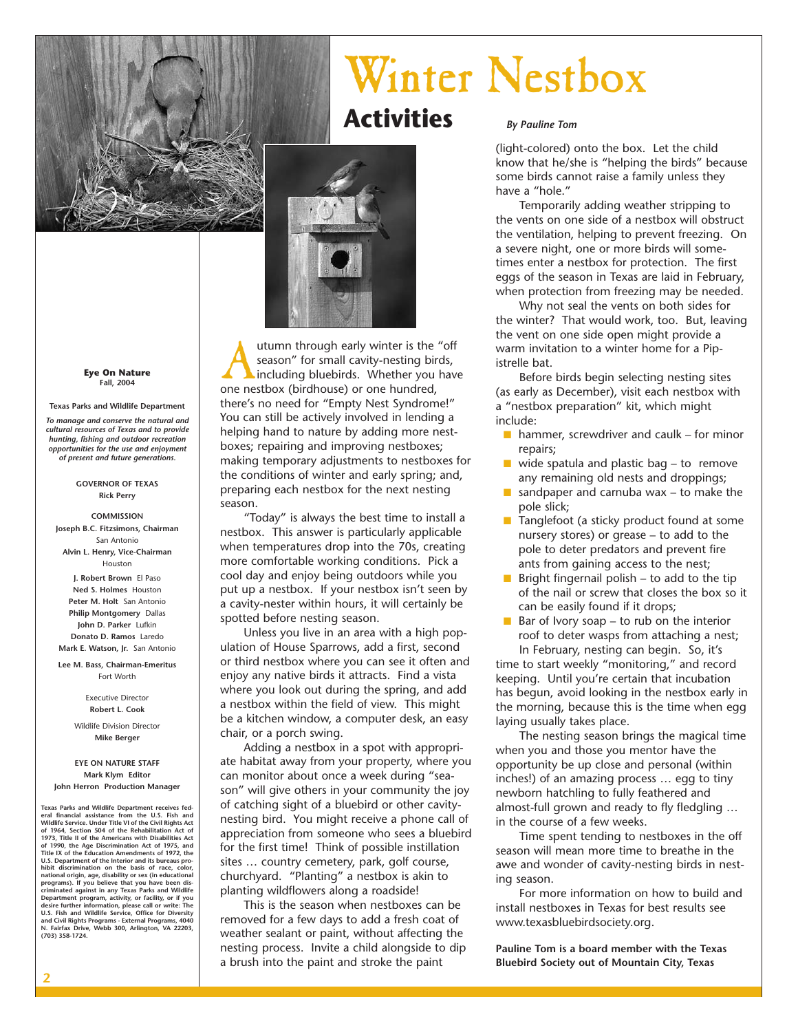

**Eye On Nature Fall, 2004**

**Texas Parks and Wildlife Department** *To manage and conserve the natural and cultural resources of Texas and to provide hunting, fishing and outdoor recreation opportunities for the use and enjoyment of present and future generations.*

#### **GOVERNOR OF TEXAS Rick Perry**

**COMMISSION Joseph B.C. Fitzsimons, Chairman** San Antonio **Alvin L. Henry, Vice-Chairman** Houston **J. Robert Brown** El Paso **Ned S. Holmes** Houston **Peter M. Holt** San Antonio **Philip Montgomery** Dallas **John D. Parker** Lufkin **Donato D. Ramos** Laredo **Mark E. Watson, Jr.** San Antonio

**Lee M. Bass, Chairman-Emeritus**  Fort Worth

> Executive Director **Robert L. Cook**

Wildlife Division Director **Mike Berger**

#### **EYE ON NATURE STAFF Mark Klym Editor**

**John Herron Production Manager**

**Texas Parks and Wildlife Department receives federal financial assistance from the U.S. Fish and Wildlife Service. Under Title VI of the Civil Rights Act of 1964, Section 504 of the Rehabilitation Act of 1973, Title II of the Americans with Disabilities Act of 1990, the Age Discrimination Act of 1975, and Title IX of the Education Amendments of 1972, the U.S. Department of the Interior and its bureaus pro**hibit discrimination on the basis of race, color,<br>national origin, age, disability or sex (in educational<br>programs). If you believe that you have been dis-<br>criminated against in any Texas Parks and Wildlife<br>Department prog **desire further information, please call or write: The U.S. Fish and Wildlife Service, Office for Diversity and Civil Rights Programs - External Programs, 4040 N. Fairfax Drive, Webb 300, Arlington, VA 22203, (703) 358-1724.**



**Activities**

Autumn through early winter is the "off season" for small cavity-nesting birds,<br>including bluebirds. Whether you hav<br>one nestbox (birdhouse) or one hundred, season" for small cavity-nesting birds, including bluebirds. Whether you have there's no need for "Empty Nest Syndrome!" You can still be actively involved in lending a helping hand to nature by adding more nestboxes; repairing and improving nestboxes; making temporary adjustments to nestboxes for the conditions of winter and early spring; and, preparing each nestbox for the next nesting season.

"Today" is always the best time to install a nestbox. This answer is particularly applicable when temperatures drop into the 70s, creating more comfortable working conditions. Pick a cool day and enjoy being outdoors while you put up a nestbox. If your nestbox isn't seen by a cavity-nester within hours, it will certainly be spotted before nesting season.

Unless you live in an area with a high population of House Sparrows, add a first, second or third nestbox where you can see it often and enjoy any native birds it attracts. Find a vista where you look out during the spring, and add a nestbox within the field of view. This might be a kitchen window, a computer desk, an easy chair, or a porch swing.

Adding a nestbox in a spot with appropriate habitat away from your property, where you can monitor about once a week during "season" will give others in your community the joy of catching sight of a bluebird or other cavitynesting bird. You might receive a phone call of appreciation from someone who sees a bluebird for the first time! Think of possible instillation sites … country cemetery, park, golf course, churchyard. "Planting" a nestbox is akin to planting wildflowers along a roadside!

This is the season when nestboxes can be removed for a few days to add a fresh coat of weather sealant or paint, without affecting the nesting process. Invite a child alongside to dip a brush into the paint and stroke the paint

Winter Nestbox

#### *By Pauline Tom*

(light-colored) onto the box. Let the child know that he/she is "helping the birds" because some birds cannot raise a family unless they have a "hole."

Temporarily adding weather stripping to the vents on one side of a nestbox will obstruct the ventilation, helping to prevent freezing. On a severe night, one or more birds will sometimes enter a nestbox for protection. The first eggs of the season in Texas are laid in February, when protection from freezing may be needed.

Why not seal the vents on both sides for the winter? That would work, too. But, leaving the vent on one side open might provide a warm invitation to a winter home for a Pipistrelle bat.

Before birds begin selecting nesting sites (as early as December), visit each nestbox with a "nestbox preparation" kit, which might include:

- $\blacksquare$  hammer, screwdriver and caulk for minor repairs;
- $\blacksquare$  wide spatula and plastic bag to remove any remaining old nests and droppings;
- sandpaper and carnuba wax  $-$  to make the pole slick;
- Tanglefoot (a sticky product found at some nursery stores) or grease – to add to the pole to deter predators and prevent fire ants from gaining access to the nest;
- Bright fingernail polish  $-$  to add to the tip of the nail or screw that closes the box so it can be easily found if it drops;
- $\blacksquare$  Bar of Ivory soap to rub on the interior roof to deter wasps from attaching a nest; In February, nesting can begin. So, it's

time to start weekly "monitoring," and record keeping. Until you're certain that incubation has begun, avoid looking in the nestbox early in the morning, because this is the time when egg laying usually takes place.

The nesting season brings the magical time when you and those you mentor have the opportunity be up close and personal (within inches!) of an amazing process … egg to tiny newborn hatchling to fully feathered and almost-full grown and ready to fly fledgling … in the course of a few weeks.

Time spent tending to nestboxes in the off season will mean more time to breathe in the awe and wonder of cavity-nesting birds in nesting season.

For more information on how to build and install nestboxes in Texas for best results see www.texasbluebirdsociety.org.

**Pauline Tom is a board member with the Texas Bluebird Society out of Mountain City, Texas**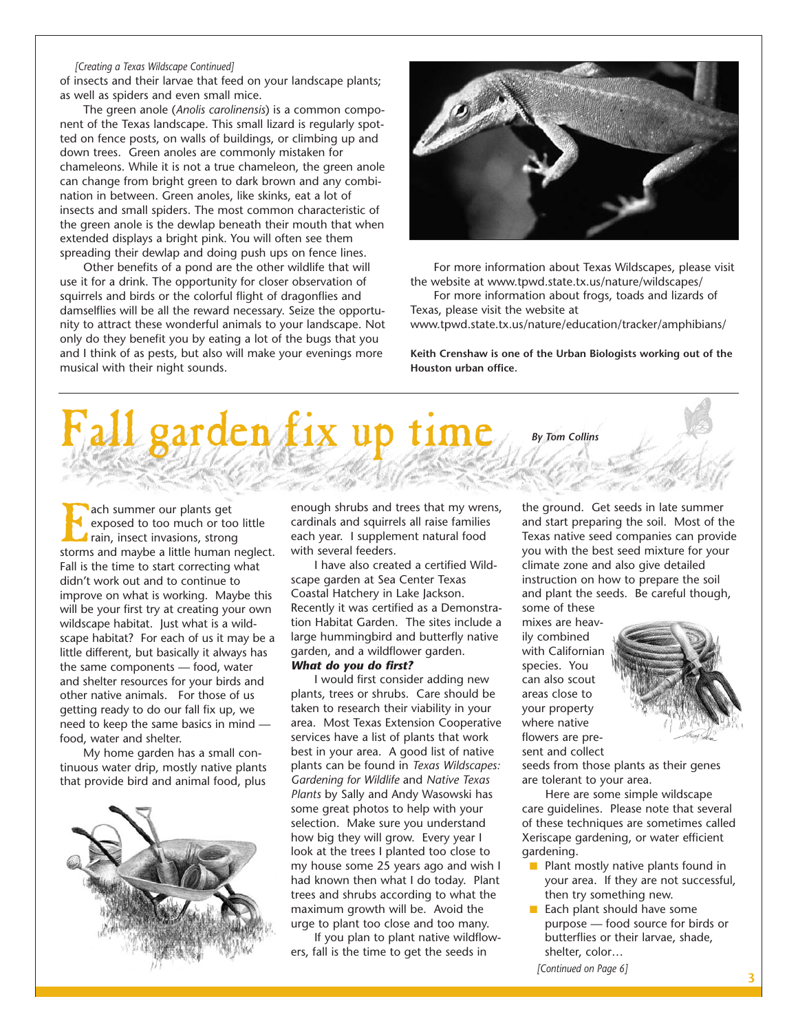#### *[Creating a Texas Wildscape Continued]*

of insects and their larvae that feed on your landscape plants; as well as spiders and even small mice.

The green anole (*Anolis carolinensis*) is a common component of the Texas landscape. This small lizard is regularly spotted on fence posts, on walls of buildings, or climbing up and down trees. Green anoles are commonly mistaken for chameleons. While it is not a true chameleon, the green anole can change from bright green to dark brown and any combination in between. Green anoles, like skinks, eat a lot of insects and small spiders. The most common characteristic of the green anole is the dewlap beneath their mouth that when extended displays a bright pink. You will often see them spreading their dewlap and doing push ups on fence lines.

Other benefits of a pond are the other wildlife that will use it for a drink. The opportunity for closer observation of squirrels and birds or the colorful flight of dragonflies and damselflies will be all the reward necessary. Seize the opportunity to attract these wonderful animals to your landscape. Not only do they benefit you by eating a lot of the bugs that you and I think of as pests, but also will make your evenings more musical with their night sounds.



For more information about Texas Wildscapes, please visit the website at www.tpwd.state.tx.us/nature/wildscapes/

For more information about frogs, toads and lizards of Texas, please visit the website at

www.tpwd.state.tx.us/nature/education/tracker/amphibians/

**Keith Crenshaw is one of the Urban Biologists working out of the Houston urban office.**



ach summer our plants get<br>
exposed to too much or to<br>
rain, insect invasions, stron<br>
storms and maybe a little human exposed to too much or too little rain, insect invasions, strong storms and maybe a little human neglect. Fall is the time to start correcting what didn't work out and to continue to improve on what is working. Maybe this will be your first try at creating your own wildscape habitat. Just what is a wildscape habitat? For each of us it may be a little different, but basically it always has the same components — food, water and shelter resources for your birds and other native animals. For those of us getting ready to do our fall fix up, we need to keep the same basics in mind food, water and shelter.

My home garden has a small continuous water drip, mostly native plants that provide bird and animal food, plus



enough shrubs and trees that my wrens, cardinals and squirrels all raise families each year. I supplement natural food with several feeders.

I have also created a certified Wildscape garden at Sea Center Texas Coastal Hatchery in Lake Jackson. Recently it was certified as a Demonstration Habitat Garden. The sites include a large hummingbird and butterfly native garden, and a wildflower garden.

#### *What do you do first?*

I would first consider adding new plants, trees or shrubs. Care should be taken to research their viability in your area. Most Texas Extension Cooperative services have a list of plants that work best in your area. A good list of native plants can be found in *Texas Wildscapes: Gardening for Wildlife* and *Native Texas Plants* by Sally and Andy Wasowski has some great photos to help with your selection. Make sure you understand how big they will grow. Every year I look at the trees I planted too close to my house some 25 years ago and wish I had known then what I do today. Plant trees and shrubs according to what the maximum growth will be. Avoid the urge to plant too close and too many.

If you plan to plant native wildflowers, fall is the time to get the seeds in

the ground. Get seeds in late summer and start preparing the soil. Most of the Texas native seed companies can provide you with the best seed mixture for your climate zone and also give detailed instruction on how to prepare the soil and plant the seeds. Be careful though, some of these

mixes are heavily combined with Californian species. You can also scout areas close to your property where native flowers are present and collect



seeds from those plants as their genes are tolerant to your area.

Here are some simple wildscape care guidelines. Please note that several of these techniques are sometimes called Xeriscape gardening, or water efficient gardening.

- Plant mostly native plants found in your area. If they are not successful, then try something new.
- Each plant should have some purpose — food source for birds or butterflies or their larvae, shade, shelter, color…

*[Continued on Page 6]*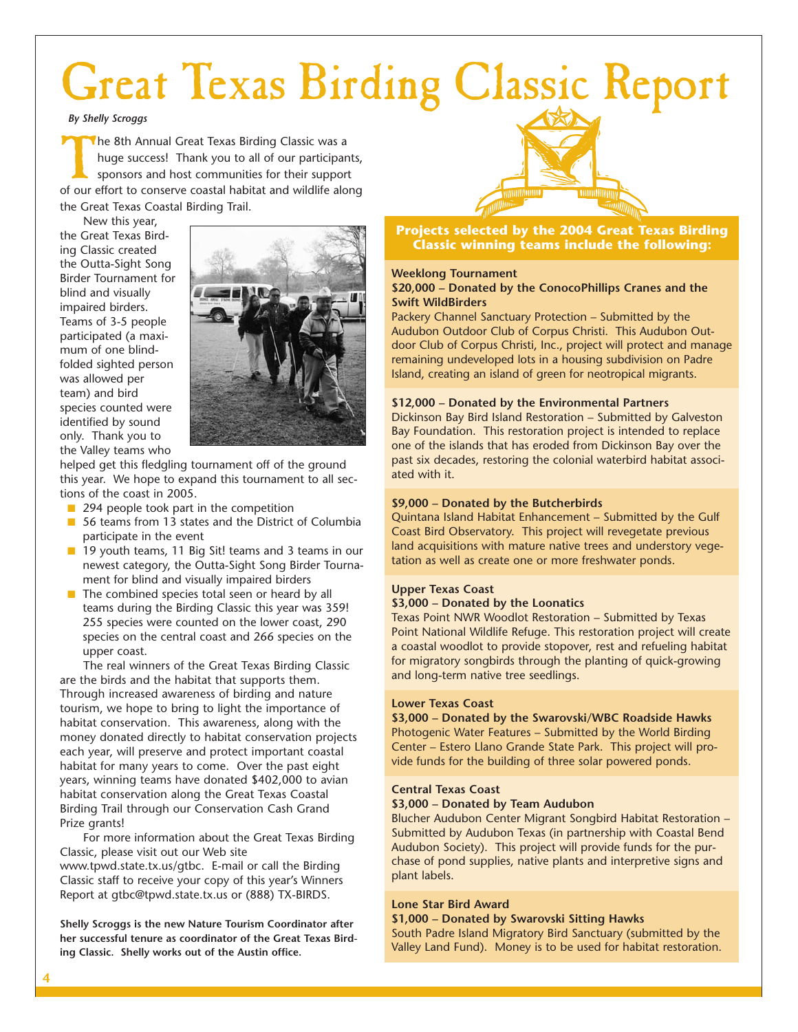# Great Texas Birding Classic Report

*By Shelly Scroggs*

The 8th Annual Great Texas Birding Classic was a<br>huge success! Thank you to all of our participar<br>sponsors and host communities for their suppor<br>of our effort to conserve coastal habitat and wildlife ald huge success! Thank you to all of our participants, sponsors and host communities for their support of our effort to conserve coastal habitat and wildlife along the Great Texas Coastal Birding Trail.

New this year, the Great Texas Birding Classic created the Outta-Sight Song Birder Tournament for blind and visually impaired birders. Teams of 3-5 people participated (a maximum of one blindfolded sighted person was allowed per team) and bird species counted were identified by sound only. Thank you to the Valley teams who



helped get this fledgling tournament off of the ground this year. We hope to expand this tournament to all sections of the coast in 2005.

- 294 people took part in the competition
- 56 teams from 13 states and the District of Columbia participate in the event
- 19 youth teams, 11 Big Sit! teams and 3 teams in our newest category, the Outta-Sight Song Birder Tournament for blind and visually impaired birders
- The combined species total seen or heard by all teams during the Birding Classic this year was 359! 255 species were counted on the lower coast, 290 species on the central coast and 266 species on the upper coast.

The real winners of the Great Texas Birding Classic are the birds and the habitat that supports them. Through increased awareness of birding and nature tourism, we hope to bring to light the importance of habitat conservation. This awareness, along with the money donated directly to habitat conservation projects each year, will preserve and protect important coastal habitat for many years to come. Over the past eight years, winning teams have donated \$402,000 to avian habitat conservation along the Great Texas Coastal Birding Trail through our Conservation Cash Grand Prize grants!

For more information about the Great Texas Birding Classic, please visit out our Web site www.tpwd.state.tx.us/gtbc. E-mail or call the Birding Classic staff to receive your copy of this year's Winners Report at gtbc@tpwd.state.tx.us or (888) TX-BIRDS.

**Shelly Scroggs is the new Nature Tourism Coordinator after her successful tenure as coordinator of the Great Texas Birding Classic. Shelly works out of the Austin office.**

**Projects selected by the 2004 Great Texas Birding Classic winning teams include the following:**

#### **Weeklong Tournament**

#### **\$20,000 – Donated by the ConocoPhillips Cranes and the Swift WildBirders**

Packery Channel Sanctuary Protection – Submitted by the Audubon Outdoor Club of Corpus Christi. This Audubon Outdoor Club of Corpus Christi, Inc., project will protect and manage remaining undeveloped lots in a housing subdivision on Padre Island, creating an island of green for neotropical migrants.

#### **\$12,000 – Donated by the Environmental Partners**

Dickinson Bay Bird Island Restoration – Submitted by Galveston Bay Foundation. This restoration project is intended to replace one of the islands that has eroded from Dickinson Bay over the past six decades, restoring the colonial waterbird habitat associated with it.

#### **\$9,000 – Donated by the Butcherbirds**

Quintana Island Habitat Enhancement – Submitted by the Gulf Coast Bird Observatory. This project will revegetate previous land acquisitions with mature native trees and understory vegetation as well as create one or more freshwater ponds.

#### **Upper Texas Coast**

#### **\$3,000 – Donated by the Loonatics**

Texas Point NWR Woodlot Restoration – Submitted by Texas Point National Wildlife Refuge. This restoration project will create a coastal woodlot to provide stopover, rest and refueling habitat for migratory songbirds through the planting of quick-growing and long-term native tree seedlings.

#### **Lower Texas Coast**

**\$3,000 – Donated by the Swarovski/WBC Roadside Hawks** Photogenic Water Features – Submitted by the World Birding Center – Estero Llano Grande State Park. This project will provide funds for the building of three solar powered ponds.

#### **Central Texas Coast**

#### **\$3,000 – Donated by Team Audubon**

Blucher Audubon Center Migrant Songbird Habitat Restoration – Submitted by Audubon Texas (in partnership with Coastal Bend Audubon Society). This project will provide funds for the purchase of pond supplies, native plants and interpretive signs and plant labels.

#### **Lone Star Bird Award**

#### **\$1,000 – Donated by Swarovski Sitting Hawks**

South Padre Island Migratory Bird Sanctuary (submitted by the Valley Land Fund). Money is to be used for habitat restoration.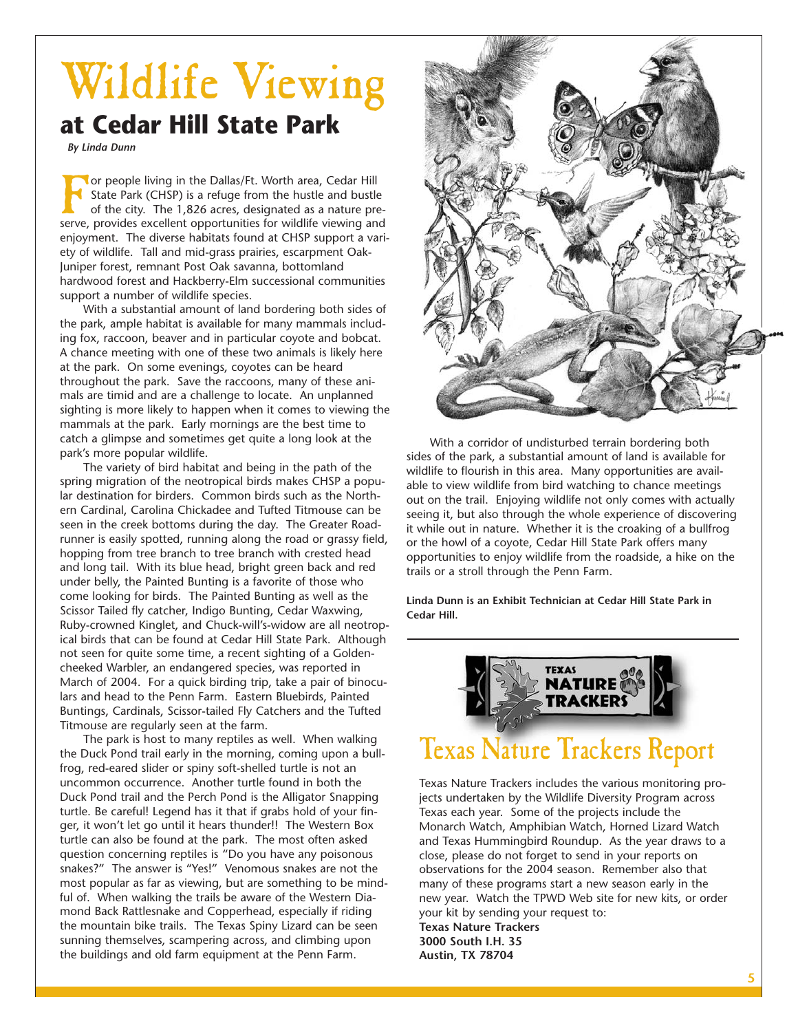## Wildlife Viewing **at Cedar Hill State Park**

*By Linda Dunn*

**Tor people living in the Dallas/Ft. Worth area, Cedar Hill** State Park (CHSP) is a refuge from the hustle and bustle of the city. The 1,826 acres, designated as a nature preserve, provides excellent opportunities for wildlife viewing and enjoyment. The diverse habitats found at CHSP support a variety of wildlife. Tall and mid-grass prairies, escarpment Oak-Juniper forest, remnant Post Oak savanna, bottomland hardwood forest and Hackberry-Elm successional communities support a number of wildlife species.

With a substantial amount of land bordering both sides of the park, ample habitat is available for many mammals including fox, raccoon, beaver and in particular coyote and bobcat. A chance meeting with one of these two animals is likely here at the park. On some evenings, coyotes can be heard throughout the park. Save the raccoons, many of these animals are timid and are a challenge to locate. An unplanned sighting is more likely to happen when it comes to viewing the mammals at the park. Early mornings are the best time to catch a glimpse and sometimes get quite a long look at the park's more popular wildlife.

The variety of bird habitat and being in the path of the spring migration of the neotropical birds makes CHSP a popular destination for birders. Common birds such as the Northern Cardinal, Carolina Chickadee and Tufted Titmouse can be seen in the creek bottoms during the day. The Greater Roadrunner is easily spotted, running along the road or grassy field, hopping from tree branch to tree branch with crested head and long tail. With its blue head, bright green back and red under belly, the Painted Bunting is a favorite of those who come looking for birds. The Painted Bunting as well as the Scissor Tailed fly catcher, Indigo Bunting, Cedar Waxwing, Ruby-crowned Kinglet, and Chuck-will's-widow are all neotropical birds that can be found at Cedar Hill State Park. Although not seen for quite some time, a recent sighting of a Goldencheeked Warbler, an endangered species, was reported in March of 2004. For a quick birding trip, take a pair of binoculars and head to the Penn Farm. Eastern Bluebirds, Painted Buntings, Cardinals, Scissor-tailed Fly Catchers and the Tufted Titmouse are regularly seen at the farm.

The park is host to many reptiles as well. When walking the Duck Pond trail early in the morning, coming upon a bullfrog, red-eared slider or spiny soft-shelled turtle is not an uncommon occurrence. Another turtle found in both the Duck Pond trail and the Perch Pond is the Alligator Snapping turtle. Be careful! Legend has it that if grabs hold of your finger, it won't let go until it hears thunder!! The Western Box turtle can also be found at the park. The most often asked question concerning reptiles is "Do you have any poisonous snakes?" The answer is "Yes!" Venomous snakes are not the most popular as far as viewing, but are something to be mindful of. When walking the trails be aware of the Western Diamond Back Rattlesnake and Copperhead, especially if riding the mountain bike trails. The Texas Spiny Lizard can be seen sunning themselves, scampering across, and climbing upon the buildings and old farm equipment at the Penn Farm.



With a corridor of undisturbed terrain bordering both sides of the park, a substantial amount of land is available for wildlife to flourish in this area. Many opportunities are available to view wildlife from bird watching to chance meetings out on the trail. Enjoying wildlife not only comes with actually seeing it, but also through the whole experience of discovering it while out in nature. Whether it is the croaking of a bullfrog or the howl of a coyote, Cedar Hill State Park offers many opportunities to enjoy wildlife from the roadside, a hike on the trails or a stroll through the Penn Farm.

**Linda Dunn is an Exhibit Technician at Cedar Hill State Park in Cedar Hill.**



Texas Nature Trackers includes the various monitoring projects undertaken by the Wildlife Diversity Program across Texas each year. Some of the projects include the Monarch Watch, Amphibian Watch, Horned Lizard Watch and Texas Hummingbird Roundup. As the year draws to a close, please do not forget to send in your reports on observations for the 2004 season. Remember also that many of these programs start a new season early in the new year. Watch the TPWD Web site for new kits, or order your kit by sending your request to: **Texas Nature Trackers 3000 South I.H. 35 Austin, TX 78704**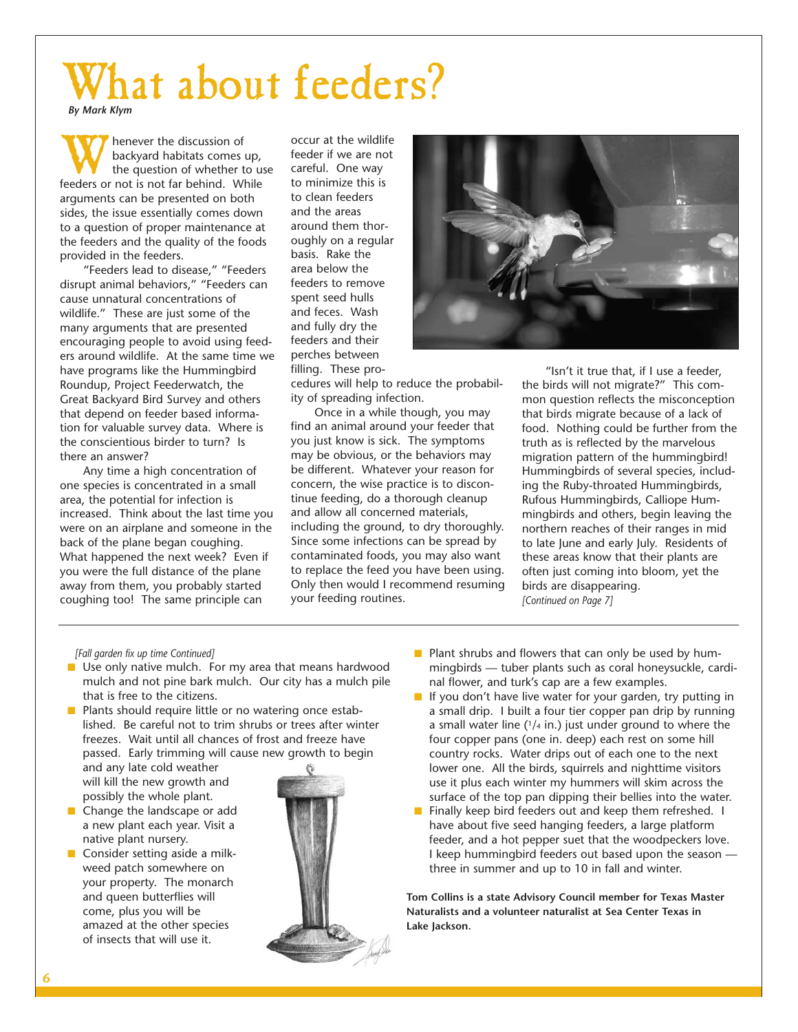## What about feeders? *By Mark Klym*

**Whenever the discussion of**<br>the question of whether to u<br>feeders or not is not far behind. While backyard habitats comes up, the question of whether to use arguments can be presented on both sides, the issue essentially comes down to a question of proper maintenance at the feeders and the quality of the foods provided in the feeders.

"Feeders lead to disease," "Feeders disrupt animal behaviors," "Feeders can cause unnatural concentrations of wildlife." These are just some of the many arguments that are presented encouraging people to avoid using feeders around wildlife. At the same time we have programs like the Hummingbird Roundup, Project Feederwatch, the Great Backyard Bird Survey and others that depend on feeder based information for valuable survey data. Where is the conscientious birder to turn? Is there an answer?

Any time a high concentration of one species is concentrated in a small area, the potential for infection is increased. Think about the last time you were on an airplane and someone in the back of the plane began coughing. What happened the next week? Even if you were the full distance of the plane away from them, you probably started coughing too! The same principle can

occur at the wildlife feeder if we are not careful. One way to minimize this is to clean feeders and the areas around them thoroughly on a regular basis. Rake the area below the feeders to remove spent seed hulls and feces. Wash and fully dry the feeders and their perches between filling. These pro-



cedures will help to reduce the probability of spreading infection.

Once in a while though, you may find an animal around your feeder that you just know is sick. The symptoms may be obvious, or the behaviors may be different. Whatever your reason for concern, the wise practice is to discontinue feeding, do a thorough cleanup and allow all concerned materials, including the ground, to dry thoroughly. Since some infections can be spread by contaminated foods, you may also want to replace the feed you have been using. Only then would I recommend resuming your feeding routines.

"Isn't it true that, if I use a feeder, the birds will not migrate?" This common question reflects the misconception that birds migrate because of a lack of food. Nothing could be further from the truth as is reflected by the marvelous migration pattern of the hummingbird! Hummingbirds of several species, including the Ruby-throated Hummingbirds, Rufous Hummingbirds, Calliope Hummingbirds and others, begin leaving the northern reaches of their ranges in mid to late June and early July. Residents of these areas know that their plants are often just coming into bloom, yet the birds are disappearing. *[Continued on Page 7]*

#### *[Fall garden fix up time Continued]*

- Use only native mulch. For my area that means hardwood mulch and not pine bark mulch. Our city has a mulch pile that is free to the citizens.
- Plants should require little or no watering once established. Be careful not to trim shrubs or trees after winter freezes. Wait until all chances of frost and freeze have passed. Early trimming will cause new growth to begin and any late cold weather will kill the new growth and
- possibly the whole plant. Change the landscape or add a new plant each year. Visit a
- native plant nursery. Consider setting aside a milkweed patch somewhere on your property. The monarch and queen butterflies will come, plus you will be amazed at the other species of insects that will use it.



- Plant shrubs and flowers that can only be used by hummingbirds — tuber plants such as coral honeysuckle, cardinal flower, and turk's cap are a few examples.
- If you don't have live water for your garden, try putting in a small drip. I built a four tier copper pan drip by running a small water line  $(1/4$  in.) just under ground to where the four copper pans (one in. deep) each rest on some hill country rocks. Water drips out of each one to the next lower one. All the birds, squirrels and nighttime visitors use it plus each winter my hummers will skim across the surface of the top pan dipping their bellies into the water.
- Finally keep bird feeders out and keep them refreshed. I have about five seed hanging feeders, a large platform feeder, and a hot pepper suet that the woodpeckers love. I keep hummingbird feeders out based upon the season three in summer and up to 10 in fall and winter.

**Tom Collins is a state Advisory Council member for Texas Master Naturalists and a volunteer naturalist at Sea Center Texas in Lake Jackson.**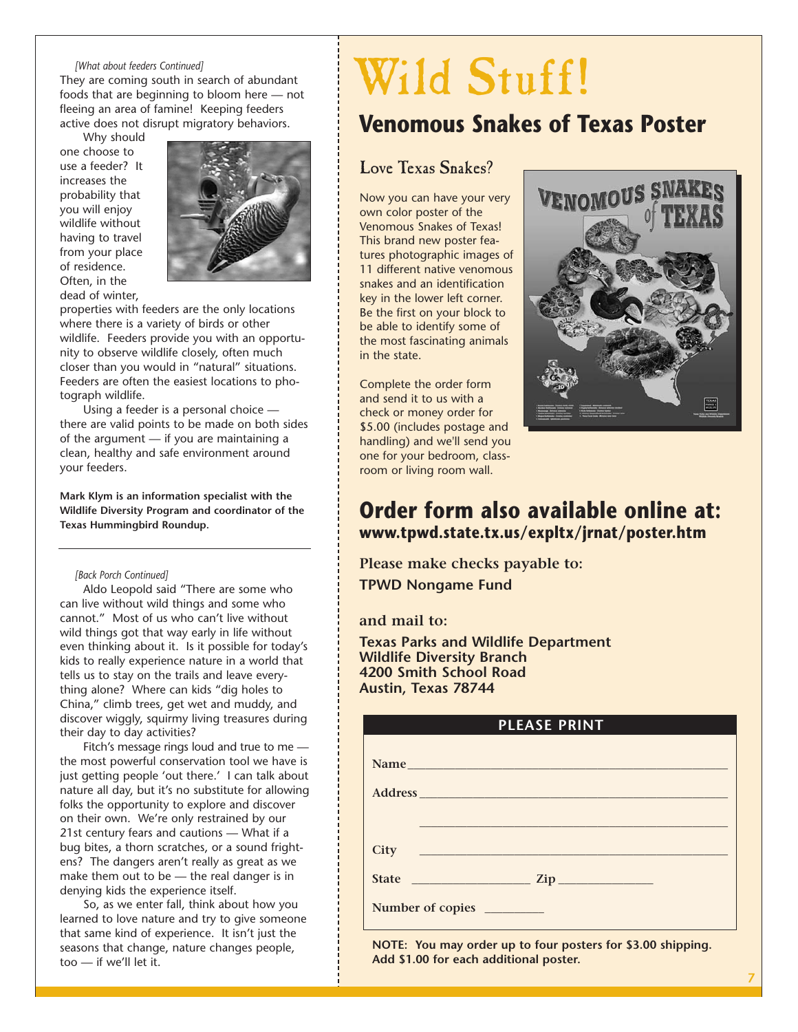#### *[What about feeders Continued]*

They are coming south in search of abundant foods that are beginning to bloom here — not fleeing an area of famine! Keeping feeders active does not disrupt migratory behaviors.

Why should one choose to use a feeder? It increases the probability that you will enjoy wildlife without having to travel from your place of residence. Often, in the dead of winter,



properties with feeders are the only locations where there is a variety of birds or other wildlife. Feeders provide you with an opportunity to observe wildlife closely, often much closer than you would in "natural" situations. Feeders are often the easiest locations to photograph wildlife.

Using a feeder is a personal choice there are valid points to be made on both sides of the argument — if you are maintaining a clean, healthy and safe environment around your feeders.

**Mark Klym is an information specialist with the Wildlife Diversity Program and coordinator of the Texas Hummingbird Roundup.**

#### *[Back Porch Continued]*

Aldo Leopold said "There are some who can live without wild things and some who cannot." Most of us who can't live without wild things got that way early in life without even thinking about it. Is it possible for today's kids to really experience nature in a world that tells us to stay on the trails and leave everything alone? Where can kids "dig holes to China," climb trees, get wet and muddy, and discover wiggly, squirmy living treasures during their day to day activities?

Fitch's message rings loud and true to me the most powerful conservation tool we have is just getting people 'out there.' I can talk about nature all day, but it's no substitute for allowing folks the opportunity to explore and discover on their own. We're only restrained by our 21st century fears and cautions — What if a bug bites, a thorn scratches, or a sound frightens? The dangers aren't really as great as we make them out to be — the real danger is in denying kids the experience itself.

So, as we enter fall, think about how you learned to love nature and try to give someone that same kind of experience. It isn't just the seasons that change, nature changes people, too — if we'll let it.

# Wild Stuff!

### **Venomous Snakes of Texas Poster**

#### Love Texas Snakes?

Now you can have your very own color poster of the Venomous Snakes of Texas! This brand new poster features photographic images of 11 different native venomous snakes and an identification key in the lower left corner. Be the first on your block to be able to identify some of the most fascinating animals in the state.

Complete the order form and send it to us with a check or money order for \$5.00 (includes postage and handling) and we'll send you one for your bedroom, classroom or living room wall.



#### **Order form also available online at: www.tpwd.state.tx.us/expltx/jrnat/poster.htm**

**Please make checks payable to: TPWD Nongame Fund**

**and mail to:** 

**Texas Parks and Wildlife Department Wildlife Diversity Branch 4200 Smith School Road Austin, Texas 78744**

| Number of copies<br>NOTE: You may order up to four posters for \$3.00 shipping. |
|---------------------------------------------------------------------------------|

**NOTE: You may order up to four posters for \$3.00 shipping. Add \$1.00 for each additional poster.**